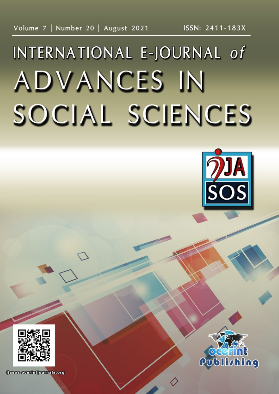# INTERNATIONAL E-JOURNAL of **ADVANCES IN** SOCIAL SCIENCES





ljasos.ocorintjournals.org

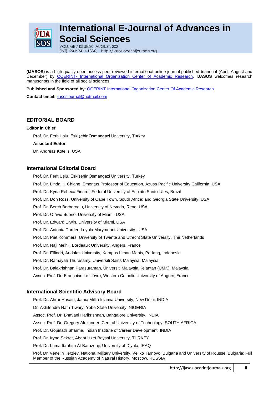

# **International E-Journal of Advances in Social Sciences**

VOLUME 7 ISSUE:20, AUGUST, 2021 (INT) ISSN: 2411-183X, http://ijasos.ocerintjournals.org

**(IJASOS)** is a high quality open access peer reviewed international online journal published triannual (April, August and December) by OCERINT- [International Organization Center of Academic Research.](http://www.ocerints.org/) **IJASOS** welcomes research manuscripts in the field of all social sciences.

Published and Sponsored by: **OCERINT International Organization Center Of Academic Research** 

**Contact email:** [ijasosjournal@hotmail.com](mailto:ijasosjournal@hotmail.com)

## **EDITORIAL BOARD**

## **Editor in Chief**

Prof. Dr. Ferit Uslu, Eskişehir Osmangazi University, Turkey

### **Assistant Editor**

Dr. Andreas Kotelis, USA

## **International Editorial Board**

- Prof. Dr. Ferit Uslu, Eskişehir Osmangazi University, Turkey
- Prof. Dr. Linda H. Chiang, Emeritus Professor of Education, Azusa Pacific University California, USA
- Prof. Dr. Kyria Rebeca Finardi, Federal University of Espirito Santo-Ufes, Brazil
- Prof. Dr. Don Ross, University of Cape Town, South Africa; and Georgia State University, USA
- Prof. Dr. Berch Berberoglu, University of Nevada, Reno, USA
- Prof. Dr. Otávio Bueno, University of Miami, USA
- Prof. Dr. Edward Erwin, University of Miami, USA
- Prof. Dr. Antonia Darder, Loyola Marymount University , USA
- Prof. Dr. Piet Kommers, University of Twente and Utrecht State University, The Netherlands
- Prof. Dr. Naji Melhli, Bordeaux University, Angers, France
- Prof. Dr. Elfindri, Andalas University, Kampus Limau Manis, Padang, Indonesia
- Prof. Dr. Ramayah Thurasamy, Universiti Sains Malaysia, Malaysia
- Prof. Dr. Balakrishnan Parasuraman, Universiti Malaysia Kelantan (UMK), Malaysia
- Assoc. Prof. Dr. Françoise Le Lièvre, Western Catholic University of Angers, France

## **International Scientific Advisory Board**

Prof. Dr. Ahrar Husain, Jamia Millia Islamia University, New Delhi, INDIA

Dr. Akhilendra Nath Tiwary, Yobe State University, NIGERIA

Assoc. Prof. Dr. Bhavani Harikrishnan, Bangalore University, INDIA

Assoc. Prof. Dr. Gregory Alexander, Central University of Technology, SOUTH AFRICA

- Prof. Dr. Gopinath Sharma, Indian Institute of Career Development, INDIA
- Prof. Dr. Iryna Sekret, Abant Izzet Baysal University, TURKEY
- Prof. Dr. Luma Ibrahim Al-Barazenji, University of Diyala, IRAQ

Prof. Dr. Venelin Terziev, National Military University, Veliko Tarnovo, Bulgaria and University of Rousse, Bulgaria; Full Member of the Russian Academy of Natural History, Moscow, RUSSIA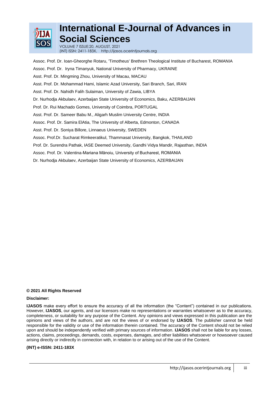

# **International E-Journal of Advances in Social Sciences**

VOLUME 7 ISSUE:20, AUGUST, 2021 (INT) ISSN: 2411-183X, http://ijasos.ocerintjournals.org

Assoc. Prof. Dr. Ioan-Gheorghe Rotaru, 'Timotheus' Brethren Theological Institute of Bucharest, ROMANIA Assoc. Prof. Dr. Iryna Timanyuk, National University of Pharmacy, UKRAINE Asst. Prof. Dr. Mingming Zhou, University of Macau, MACAU Asst. Prof. Dr. Mohammad Hami, Islamic Azad University, Sari Branch, Sari, IRAN Asst. Prof. Dr. Nahidh Falih Sulaiman, University of Zawia, LIBYA Dr. Nurhodja Akbulaev, Azerbaijan State University of Economics, Baku, AZERBAIJAN Prof. Dr. Rui Machado Gomes, University of Coimbra, PORTUGAL Asst. Prof. Dr. Sameer Babu M., Aligarh Muslim University Centre, INDIA Assoc. Prof. Dr. Samira ElAtia, The University of Alberta, Edmonton, CANADA Asst. Prof. Dr. Soniya Billore, Linnaeus University, SWEDEN Assoc. Prof.Dr. Sucharat Rimkeeratikul, Thammasat University, Bangkok, THAILAND Prof. Dr. Surendra Pathak, IASE Deemed University, Gandhi Vidya Mandir, Rajasthan, INDIA Assoc. Prof. Dr. Valentina-Mariana Mănoiu, University of Bucharest, ROMANIA Dr. Nurhodja Akbulaev, Azerbaijan State University of Economics, AZERBAIJAN

### **© 2021 All Rights Reserved**

#### **Disclaimer:**

**IJASOS** make every effort to ensure the accuracy of all the information (the "Content") contained in our publications. However, **IJASOS**, our agents, and our licensors make no representations or warranties whatsoever as to the accuracy, completeness, or suitability for any purpose of the Content. Any opinions and views expressed in this publication are the opinions and views of the authors, and are not the views of or endorsed by **IJASOS**. The publisher cannot be held responsible for the validity or use of the information therein contained. The accuracy of the Content should not be relied upon and should be independently verified with primary sources of information. **IJASOS** shall not be liable for any losses, actions, claims, proceedings, demands, costs, expenses, damages, and other liabilities whatsoever or howsoever caused arising directly or indirectly in connection with, in relation to or arising out of the use of the Content.

#### **(INT) e-ISSN: 2411-183X**